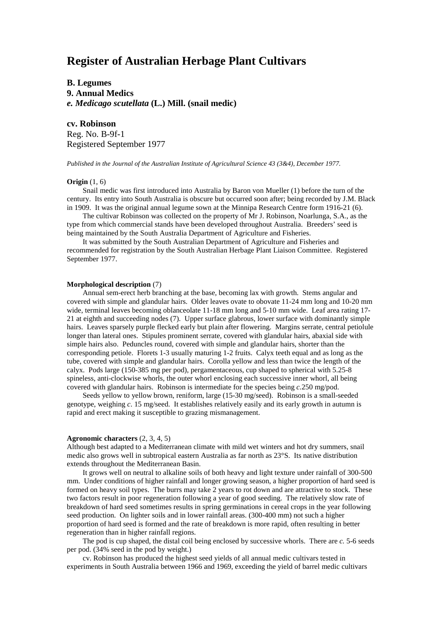# **Register of Australian Herbage Plant Cultivars**

**B. Legumes 9. Annual Medics** *e. Medicago scutellata* **(L.) Mill. (snail medic)**

## **cv. Robinson**

Reg. No. B-9f-1 Registered September 1977

*Published in the Journal of the Australian Institute of Agricultural Science 43 (3&4), December 1977.*

### **Origin** (1, 6)

Snail medic was first introduced into Australia by Baron von Mueller (1) before the turn of the century. Its entry into South Australia is obscure but occurred soon after; being recorded by J.M. Black in 1909. It was the original annual legume sown at the Minnipa Research Centre form 1916-21 (6).

The cultivar Robinson was collected on the property of Mr J. Robinson, Noarlunga, S.A., as the type from which commercial stands have been developed throughout Australia. Breeders' seed is being maintained by the South Australia Department of Agriculture and Fisheries.

It was submitted by the South Australian Department of Agriculture and Fisheries and recommended for registration by the South Australian Herbage Plant Liaison Committee. Registered September 1977.

#### **Morphological description** (7)

Annual sem-erect herb branching at the base, becoming lax with growth. Stems angular and covered with simple and glandular hairs. Older leaves ovate to obovate 11-24 mm long and 10-20 mm wide, terminal leaves becoming oblanceolate 11-18 mm long and 5-10 mm wide. Leaf area rating 17- 21 at eighth and succeeding nodes (7). Upper surface glabrous, lower surface with dominantly simple hairs. Leaves sparsely purple flecked early but plain after flowering. Margins serrate, central petiolule longer than lateral ones. Stipules prominent serrate, covered with glandular hairs, abaxial side with simple hairs also. Peduncles round, covered with simple and glandular hairs, shorter than the corresponding petiole. Florets 1-3 usually maturing 1-2 fruits. Calyx teeth equal and as long as the tube, covered with simple and glandular hairs. Corolla yellow and less than twice the length of the calyx. Pods large (150-385 mg per pod), pergamentaceous, cup shaped to spherical with 5.25-8 spineless, anti-clockwise whorls, the outer whorl enclosing each successive inner whorl, all being covered with glandular hairs. Robinson is intermediate for the species being *c.*250 mg/pod.

Seeds yellow to yellow brown, reniform, large (15-30 mg/seed). Robinson is a small-seeded genotype, weighing *c*. 15 mg/seed. It establishes relatively easily and its early growth in autumn is rapid and erect making it susceptible to grazing mismanagement.

#### **Agronomic characters** (2, 3, 4, 5)

Although best adapted to a Mediterranean climate with mild wet winters and hot dry summers, snail medic also grows well in subtropical eastern Australia as far north as 23°S. Its native distribution extends throughout the Mediterranean Basin.

It grows well on neutral to alkaline soils of both heavy and light texture under rainfall of 300-500 mm. Under conditions of higher rainfall and longer growing season, a higher proportion of hard seed is formed on heavy soil types. The burrs may take 2 years to rot down and are attractive to stock. These two factors result in poor regeneration following a year of good seeding. The relatively slow rate of breakdown of hard seed sometimes results in spring germinations in cereal crops in the year following seed production. On lighter soils and in lower rainfall areas. (300-400 mm) not such a higher proportion of hard seed is formed and the rate of breakdown is more rapid, often resulting in better regeneration than in higher rainfall regions.

The pod is cup shaped, the distal coil being enclosed by successive whorls. There are *c.* 5-6 seeds per pod. (34% seed in the pod by weight.)

cv. Robinson has produced the highest seed yields of all annual medic cultivars tested in experiments in South Australia between 1966 and 1969, exceeding the yield of barrel medic cultivars